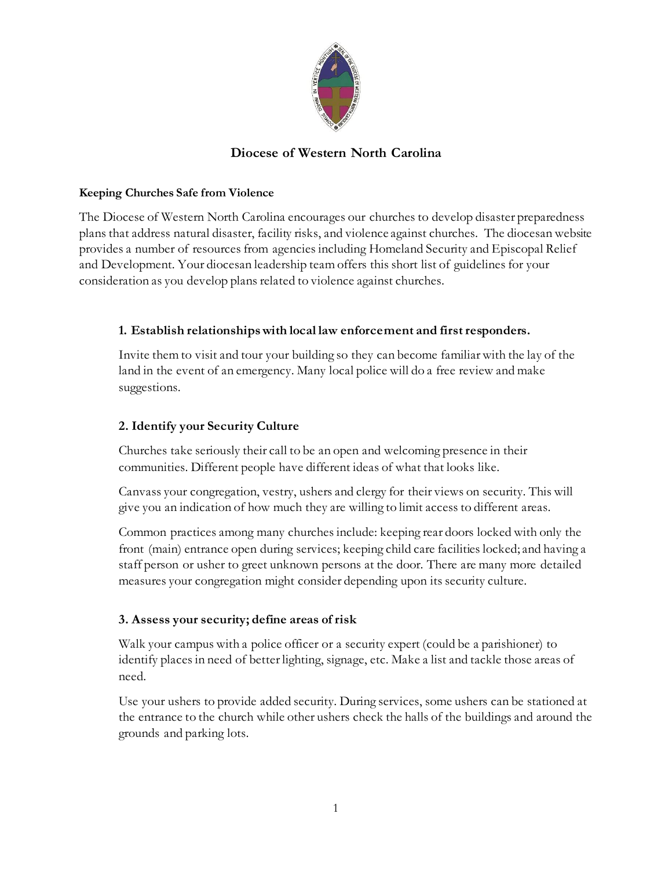

# **Diocese of Western North Carolina**

#### **Keeping Churches Safe from Violence**

The Diocese of Western North Carolina encourages our churches to develop disaster preparedness plans that address natural disaster, facility risks, and violence against churches. The diocesan website provides a number of resources from agencies including Homeland Security and Episcopal Relief and Development. Your diocesan leadership team offers this short list of guidelines for your consideration as you develop plans related to violence against churches.

#### **1. Establish relationships with local law enforcement and first responders.**

Invite them to visit and tour your building so they can become familiar with the lay of the land in the event of an emergency. Many local police will do a free review and make suggestions.

#### **2. Identify your Security Culture**

Churches take seriously their call to be an open and welcoming presence in their communities. Different people have different ideas of what that looks like.

Canvass your congregation, vestry, ushers and clergy for their views on security. This will give you an indication of how much they are willing to limit access to different areas.

Common practices among many churches include: keeping rear doors locked with only the front (main) entrance open during services; keeping child care facilities locked; and having a staff person or usher to greet unknown persons at the door. There are many more detailed measures your congregation might consider depending upon its security culture.

#### **3. Assess your security; define areas of risk**

Walk your campus with a police officer or a security expert (could be a parishioner) to identify places in need of better lighting, signage, etc. Make a list and tackle those areas of need.

Use your ushers to provide added security. During services, some ushers can be stationed at the entrance to the church while other ushers check the halls of the buildings and around the grounds and parking lots.